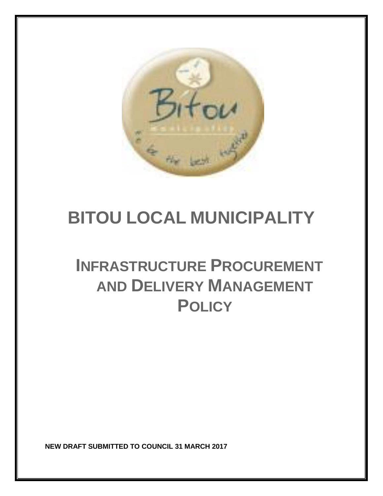

# **BITOU LOCAL MUNICIPALITY**

# **INFRASTRUCTURE PROCUREMENT AND DELIVERY MANAGEMENT POLICY**

**NEW DRAFT SUBMITTED TO COUNCIL 31 MARCH 2017**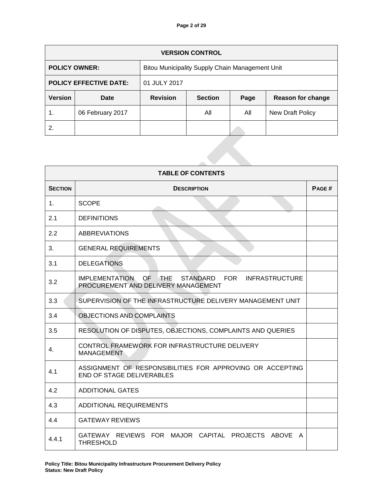|                               | <b>VERSION CONTROL</b> |                                                 |                |      |                          |  |
|-------------------------------|------------------------|-------------------------------------------------|----------------|------|--------------------------|--|
| <b>POLICY OWNER:</b>          |                        | Bitou Municipality Supply Chain Management Unit |                |      |                          |  |
| <b>POLICY EFFECTIVE DATE:</b> |                        | 01 JULY 2017                                    |                |      |                          |  |
| <b>Version</b><br>Date        |                        | <b>Revision</b>                                 | <b>Section</b> | Page | <b>Reason for change</b> |  |
| 1.                            | 06 February 2017       |                                                 | All            | All  | <b>New Draft Policy</b>  |  |
| 2.                            |                        |                                                 |                |      |                          |  |
|                               |                        |                                                 |                |      |                          |  |

| <b>TABLE OF CONTENTS</b> |                                                                                               |       |  |  |
|--------------------------|-----------------------------------------------------------------------------------------------|-------|--|--|
| <b>SECTION</b>           | <b>DESCRIPTION</b>                                                                            | PAGE# |  |  |
| $1_{-}$                  | <b>SCOPE</b>                                                                                  |       |  |  |
| 2.1                      | <b>DEFINITIONS</b>                                                                            |       |  |  |
| 2.2                      | <b>ABBREVIATIONS</b>                                                                          |       |  |  |
| 3.                       | <b>GENERAL REQUIREMENTS</b>                                                                   |       |  |  |
| 3.1                      | <b>DELEGATIONS</b>                                                                            |       |  |  |
| 3.2                      | IMPLEMENTATION OF THE STANDARD FOR INFRASTRUCTURE<br>PROCUREMENT AND DELIVERY MANAGEMENT      |       |  |  |
| 3.3                      | SUPERVISION OF THE INFRASTRUCTURE DELIVERY MANAGEMENT UNIT                                    |       |  |  |
| 3.4                      | OBJECTIONS AND COMPLAINTS                                                                     |       |  |  |
| 3.5                      | RESOLUTION OF DISPUTES, OBJECTIONS, COMPLAINTS AND QUERIES                                    |       |  |  |
| 4.                       | CONTROL FRAMEWORK FOR INFRASTRUCTURE DELIVERY<br><b>MANAGEMENT</b>                            |       |  |  |
| 4.1                      | ASSIGNMENT OF RESPONSIBILITIES FOR APPROVING OR ACCEPTING<br><b>END OF STAGE DELIVERABLES</b> |       |  |  |
| 4.2                      | <b>ADDITIONAL GATES</b>                                                                       |       |  |  |
| 4.3                      | <b>ADDITIONAL REQUIREMENTS</b>                                                                |       |  |  |
| 4.4                      | <b>GATEWAY REVIEWS</b>                                                                        |       |  |  |
| 4.4.1                    | GATEWAY REVIEWS FOR MAJOR CAPITAL PROJECTS ABOVE A<br><b>THRESHOLD</b>                        |       |  |  |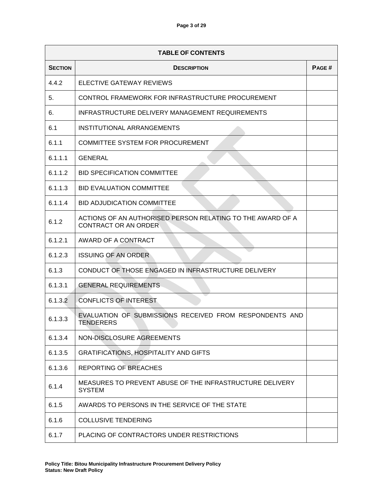|                | <b>TABLE OF CONTENTS</b>                                                           |       |  |  |  |  |  |
|----------------|------------------------------------------------------------------------------------|-------|--|--|--|--|--|
| <b>SECTION</b> | <b>DESCRIPTION</b>                                                                 | PAGE# |  |  |  |  |  |
| 4.4.2          | ELECTIVE GATEWAY REVIEWS                                                           |       |  |  |  |  |  |
| 5.             | CONTROL FRAMEWORK FOR INFRASTRUCTURE PROCUREMENT                                   |       |  |  |  |  |  |
| 6.             | INFRASTRUCTURE DELIVERY MANAGEMENT REQUIREMENTS                                    |       |  |  |  |  |  |
| 6.1            | INSTITUTIONAL ARRANGEMENTS                                                         |       |  |  |  |  |  |
| 6.1.1          | COMMITTEE SYSTEM FOR PROCUREMENT                                                   |       |  |  |  |  |  |
| 6.1.1.1        | <b>GENERAL</b>                                                                     |       |  |  |  |  |  |
| 6.1.1.2        | <b>BID SPECIFICATION COMMITTEE</b>                                                 |       |  |  |  |  |  |
| 6.1.1.3        | <b>BID EVALUATION COMMITTEE</b>                                                    |       |  |  |  |  |  |
| 6.1.1.4        | <b>BID ADJUDICATION COMMITTEE</b>                                                  |       |  |  |  |  |  |
| 6.1.2          | ACTIONS OF AN AUTHORISED PERSON RELATING TO THE AWARD OF A<br>CONTRACT OR AN ORDER |       |  |  |  |  |  |
| 6.1.2.1        | AWARD OF A CONTRACT                                                                |       |  |  |  |  |  |
| 6.1.2.3        | <b>ISSUING OF AN ORDER</b>                                                         |       |  |  |  |  |  |
| 6.1.3          | CONDUCT OF THOSE ENGAGED IN INFRASTRUCTURE DELIVERY                                |       |  |  |  |  |  |
| 6.1.3.1        | <b>GENERAL REQUIREMENTS</b>                                                        |       |  |  |  |  |  |
| 6.1.3.2        | <b>CONFLICTS OF INTEREST</b>                                                       |       |  |  |  |  |  |
| 6.1.3.3        | EVALUATION OF SUBMISSIONS RECEIVED FROM RESPONDENTS AND<br><b>TENDERERS</b>        |       |  |  |  |  |  |
| 6.1.3.4        | NON-DISCLOSURE AGREEMENTS                                                          |       |  |  |  |  |  |
| 6.1.3.5        | <b>GRATIFICATIONS, HOSPITALITY AND GIFTS</b>                                       |       |  |  |  |  |  |
| 6.1.3.6        | REPORTING OF BREACHES                                                              |       |  |  |  |  |  |
| 6.1.4          | MEASURES TO PREVENT ABUSE OF THE INFRASTRUCTURE DELIVERY<br><b>SYSTEM</b>          |       |  |  |  |  |  |
| 6.1.5          | AWARDS TO PERSONS IN THE SERVICE OF THE STATE                                      |       |  |  |  |  |  |
| 6.1.6          | <b>COLLUSIVE TENDERING</b>                                                         |       |  |  |  |  |  |
| 6.1.7          | PLACING OF CONTRACTORS UNDER RESTRICTIONS                                          |       |  |  |  |  |  |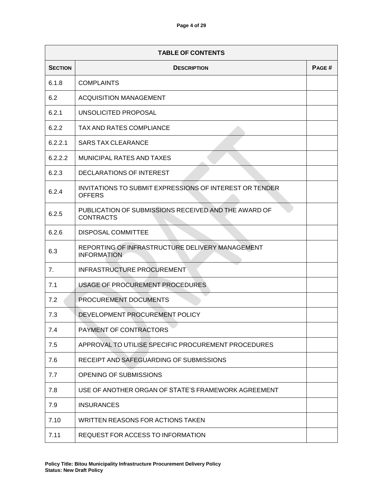|                | <b>TABLE OF CONTENTS</b>                                                        |       |  |  |  |  |
|----------------|---------------------------------------------------------------------------------|-------|--|--|--|--|
| <b>SECTION</b> | <b>DESCRIPTION</b>                                                              | PAGE# |  |  |  |  |
| 6.1.8          | <b>COMPLAINTS</b>                                                               |       |  |  |  |  |
| 6.2            | <b>ACQUISITION MANAGEMENT</b>                                                   |       |  |  |  |  |
| 6.2.1          | UNSOLICITED PROPOSAL                                                            |       |  |  |  |  |
| 6.2.2          | <b>TAX AND RATES COMPLIANCE</b>                                                 |       |  |  |  |  |
| 6.2.2.1        | <b>SARS TAX CLEARANCE</b>                                                       |       |  |  |  |  |
| 6.2.2.2        | <b>MUNICIPAL RATES AND TAXES</b>                                                |       |  |  |  |  |
| 6.2.3          | DECLARATIONS OF INTEREST                                                        |       |  |  |  |  |
| 6.2.4          | <b>INVITATIONS TO SUBMIT EXPRESSIONS OF INTEREST OR TENDER</b><br><b>OFFERS</b> |       |  |  |  |  |
| 6.2.5          | PUBLICATION OF SUBMISSIONS RECEIVED AND THE AWARD OF<br><b>CONTRACTS</b>        |       |  |  |  |  |
| 6.2.6          | <b>DISPOSAL COMMITTEE</b>                                                       |       |  |  |  |  |
| 6.3            | REPORTING OF INFRASTRUCTURE DELIVERY MANAGEMENT<br><b>INFORMATION</b>           |       |  |  |  |  |
| 7 <sub>1</sub> | INFRASTRUCTURE PROCUREMENT                                                      |       |  |  |  |  |
| 7.1            | USAGE OF PROCUREMENT PROCEDURES                                                 |       |  |  |  |  |
| 7.2            | PROCUREMENT DOCUMENTS                                                           |       |  |  |  |  |
| 7.3            | DEVELOPMENT PROCUREMENT POLICY                                                  |       |  |  |  |  |
| 7.4            | PAYMENT OF CONTRACTORS                                                          |       |  |  |  |  |
| 7.5            | APPROVAL TO UTILISE SPECIFIC PROCUREMENT PROCEDURES                             |       |  |  |  |  |
| 7.6            | RECEIPT AND SAFEGUARDING OF SUBMISSIONS                                         |       |  |  |  |  |
| 7.7            | OPENING OF SUBMISSIONS                                                          |       |  |  |  |  |
| 7.8            | USE OF ANOTHER ORGAN OF STATE'S FRAMEWORK AGREEMENT                             |       |  |  |  |  |
| 7.9            | <b>INSURANCES</b>                                                               |       |  |  |  |  |
| 7.10           | WRITTEN REASONS FOR ACTIONS TAKEN                                               |       |  |  |  |  |
| 7.11           | REQUEST FOR ACCESS TO INFORMATION                                               |       |  |  |  |  |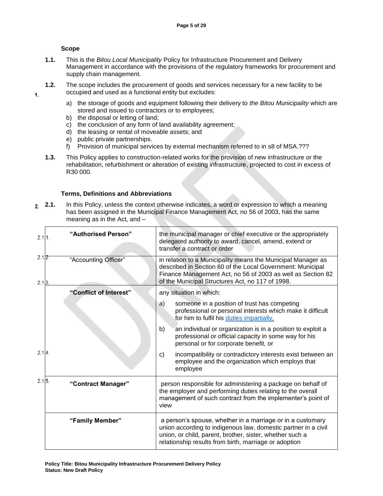#### **Scope**

 $1.$ 

- **1.1.** This is the *Bitou Local Municipality* Policy for Infrastructure Procurement and Delivery Management in accordance with the provisions of the regulatory frameworks for procurement and supply chain management.
- **1.2.** The scope includes the procurement of goods and services necessary for a new facility to be occupied and used as a functional entity but excludes:
	- a) the storage of goods and equipment following their delivery to *the Bitou Municipality* which are stored and issued to contractors or to employees;
	- b) the disposal or letting of land;
	- c) the conclusion of any form of land availability agreement;
	- d) the leasing or rental of moveable assets; and
	- e) public private partnerships.
	- f) Provision of municipal services by external mechanism referred to in s8 of MSA.???
- **1.3.** This Policy applies to construction-related works for the provision of new infrastructure or the rehabilitation, refurbishment or alteration of existing infrastructure, projected to cost in excess of R30 000.

#### **Terms, Definitions and Abbreviations**

**2.1.** In this Policy, unless the context otherwise indicates, a word or expression to which a meaning  $2.$ has been assigned in the Municipal Finance Management Act, no 56 of 2003, has the same meaning as in the Act, and –

| 2.111.         | "Authorised Person"    | the municipal manager or chief executive or the appropriately<br>delegated authority to award, cancel, amend, extend or<br>transfer a contract or order                                                                                           |
|----------------|------------------------|---------------------------------------------------------------------------------------------------------------------------------------------------------------------------------------------------------------------------------------------------|
| 2.12<br>2.1.3. | "Accounting Officer"   | in relation to a Municipality means the Municipal Manager as<br>described in Section 60 of the Local Government: Municipal<br>Finance Management Act, no 56 of 2003 as well as Section 82<br>of the Municipal Structures Act, no 117 of 1998.     |
|                | "Conflict of Interest" | any situation in which:                                                                                                                                                                                                                           |
|                |                        | someone in a position of trust has competing<br>a)<br>professional or personal interests which make it difficult<br>for him to fulfil his duties impartially,                                                                                     |
|                |                        | an individual or organization is in a position to exploit a<br>b)<br>professional or official capacity in some way for his<br>personal or for corporate benefit, or                                                                               |
| 2.14           |                        | incompatibility or contradictory interests exist between an<br>C)<br>employee and the organization which employs that<br>employee                                                                                                                 |
| 2.1J5.         | "Contract Manager"     | person responsible for administering a package on behalf of<br>the employer and performing duties relating to the overall<br>management of such contract from the implementer's point of<br>view                                                  |
|                | "Family Member"        | a person's spouse, whether in a marriage or in a customary<br>union according to indigenous law, domestic partner in a civil<br>union, or child, parent, brother, sister, whether such a<br>relationship results from birth, marriage or adoption |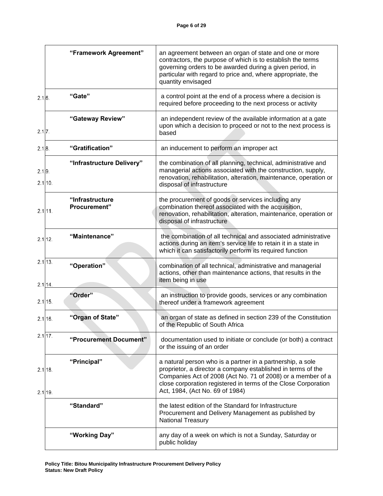|                    | "Framework Agreement"           | an agreement between an organ of state and one or more<br>contractors, the purpose of which is to establish the terms<br>governing orders to be awarded during a given period, in<br>particular with regard to price and, where appropriate, the<br>quantity envisaged                         |
|--------------------|---------------------------------|------------------------------------------------------------------------------------------------------------------------------------------------------------------------------------------------------------------------------------------------------------------------------------------------|
| 2.1.6.             | "Gate"                          | a control point at the end of a process where a decision is<br>required before proceeding to the next process or activity                                                                                                                                                                      |
| 2.1.7.             | "Gateway Review"                | an independent review of the available information at a gate<br>upon which a decision to proceed or not to the next process is<br>based                                                                                                                                                        |
| 2.1.8.             | "Gratification"                 | an inducement to perform an improper act                                                                                                                                                                                                                                                       |
| 2.1.9.<br>2.1.10.  | "Infrastructure Delivery"       | the combination of all planning, technical, administrative and<br>managerial actions associated with the construction, supply,<br>renovation, rehabilitation, alteration, maintenance, operation or<br>disposal of infrastructure                                                              |
| 2.1.111.           | "Infrastructure<br>Procurement" | the procurement of goods or services including any<br>combination thereof associated with the acquisition,<br>renovation, rehabilitation, alteration, maintenance, operation or<br>disposal of infrastructure                                                                                  |
| 2.1.12             | "Maintenance"                   | the combination of all technical and associated administrative<br>actions during an item's service life to retain it in a state in<br>which it can satisfactorily perform its required function                                                                                                |
| 2.1113.<br>2.1.14  | "Operation"                     | combination of all technical, administrative and managerial<br>actions, other than maintenance actions, that results in the<br>item being in use                                                                                                                                               |
| 2.1.15.            | "Order"                         | an instruction to provide goods, services or any combination<br>thereof under a framework agreement                                                                                                                                                                                            |
| 2.1.16.            | "Organ of State"                | an organ of state as defined in section 239 of the Constitution<br>of the Republic of South Africa                                                                                                                                                                                             |
| 2.1.17.            | "Procurement Document"          | documentation used to initiate or conclude (or both) a contract<br>or the issuing of an order                                                                                                                                                                                                  |
| 2.1118.<br>2.1,19. | "Principal"                     | a natural person who is a partner in a partnership, a sole<br>proprietor, a director a company established in terms of the<br>Companies Act of 2008 (Act No. 71 of 2008) or a member of a<br>close corporation registered in terms of the Close Corporation<br>Act, 1984, (Act No. 69 of 1984) |
|                    | "Standard"                      | the latest edition of the Standard for Infrastructure<br>Procurement and Delivery Management as published by<br><b>National Treasury</b>                                                                                                                                                       |
|                    | "Working Day"                   | any day of a week on which is not a Sunday, Saturday or<br>public holiday                                                                                                                                                                                                                      |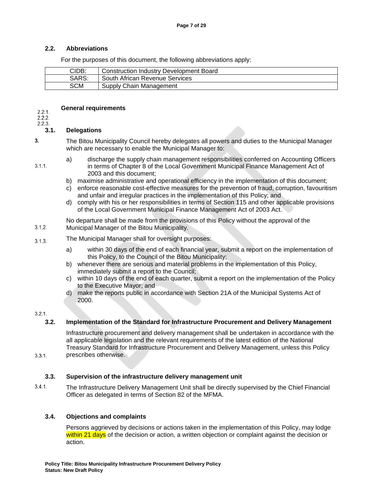#### **2.2. Abbreviations**

For the purposes of this document, the following abbreviations apply:

| CIDB: | Construction Industry Development Board |
|-------|-----------------------------------------|
| SARS: | South African Revenue Services          |
| SCM   | Supply Chain Management                 |

#### **General requirements**  $2.2.1.$

 $2.2.2.$ 

#### $2.2.3.$

 $3.1.1.$ 

 $3.1.2.$ 

### **3.1. Delegations**

 $3.$ The Bitou Municipality Council hereby delegates all powers and duties to the Municipal Manager which are necessary to enable the Municipal Manager to:

- a) discharge the supply chain management responsibilities conferred on Accounting Officers in terms of Chapter 8 of the Local Government Municipal Finance Management Act of 2003 and this document;
- b) maximise administrative and operational efficiency in the implementation of this document;
- c) enforce reasonable cost-effective measures for the prevention of fraud, corruption, favouritism and unfair and irregular practices in the implementation of this Policy; and
- d) comply with his or her responsibilities in terms of Section 115 and other applicable provisions of the Local Government Municipal Finance Management Act of 2003 Act.

No departure shall be made from the provisions of this Policy without the approval of the Municipal Manager of the Bitou Municipality.

#### The Municipal Manager shall for oversight purposes:  $3.1.3.$

- a) within 30 days of the end of each financial year, submit a report on the implementation of this Policy, to the Council of the Bitou Municipality;
- b) whenever there are serious and material problems in the implementation of this Policy, immediately submit a report to the Council;
- c) within 10 days of the end of each quarter, submit a report on the implementation of the Policy to the Executive Mayor; and
- d) make the reports public in accordance with Section 21A of the Municipal Systems Act of 2000.

### $3.2.1.$

 $3.3.1.$ 

### **3.2. Implementation of the Standard for Infrastructure Procurement and Delivery Management**

Infrastructure procurement and delivery management shall be undertaken in accordance with the all applicable legislation and the relevant requirements of the latest edition of the National Treasury Standard for Infrastructure Procurement and Delivery Management, unless this Policy prescribes otherwise.

#### **3.3. Supervision of the infrastructure delivery management unit**

 $3.4.1.$ The Infrastructure Delivery Management Unit shall be directly supervised by the Chief Financial Officer as delegated in terms of Section 82 of the MFMA.

### **3.4. Objections and complaints**

Persons aggrieved by decisions or actions taken in the implementation of this Policy, may lodge within 21 days of the decision or action, a written objection or complaint against the decision or action.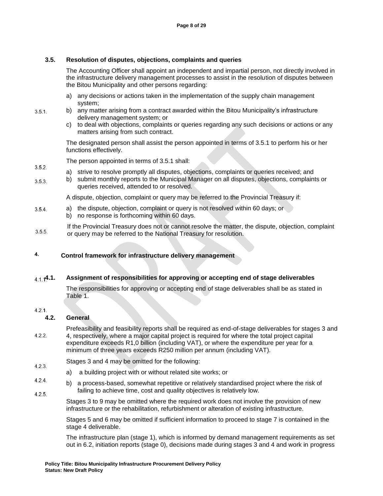### **3.5. Resolution of disputes, objections, complaints and queries**

The Accounting Officer shall appoint an independent and impartial person, not directly involved in the infrastructure delivery management processes to assist in the resolution of disputes between the Bitou Municipality and other persons regarding:

- a) any decisions or actions taken in the implementation of the supply chain management system;
- b) any matter arising from a contract awarded within the Bitou Municipality's infrastructure  $3.5.1.$ delivery management system; or
	- c) to deal with objections, complaints or queries regarding any such decisions or actions or any matters arising from such contract.

The designated person shall assist the person appointed in terms of 3.5.1 to perform his or her functions effectively.

The person appointed in terms of 3.5.1 shall:

- $3.5.2.$ a) strive to resolve promptly all disputes, objections, complaints or queries received; and
- b) submit monthly reports to the Municipal Manager on all disputes, objections, complaints or  $3.5.3.$ queries received, attended to or resolved.

A dispute, objection, complaint or query may be referred to the Provincial Treasury if:

- a) the dispute, objection, complaint or query is not resolved within 60 days; or  $3.5.4.$ b) no response is forthcoming within 60 days.
- If the Provincial Treasury does not or cannot resolve the matter, the dispute, objection, complaint  $3.5.5.$ or query may be referred to the National Treasury for resolution.

#### 4. **Control framework for infrastructure delivery management**

### **4.1. Assignment of responsibilities for approving or accepting end of stage deliverables**

The responsibilities for approving or accepting end of stage deliverables shall be as stated in Table 1.

#### $4.2.1.$

### **4.2. General**

Prefeasibility and feasibility reports shall be required as end-of-stage deliverables for stages 3 and  $4.2.2.$ 4, respectively, where a major capital project is required for where the total project capital expenditure exceeds R1,0 billion (including VAT), or where the expenditure per year for a minimum of three years exceeds R250 million per annum (including VAT).

- Stages 3 and 4 may be omitted for the following:  $4.2.3.$ 
	- a) a building project with or without related site works; or
- $4.2.4.$ b) a process-based, somewhat repetitive or relatively standardised project where the risk of failing to achieve time, cost and quality objectives is relatively low.  $4.2.5.$

Stages 3 to 9 may be omitted where the required work does not involve the provision of new infrastructure or the rehabilitation, refurbishment or alteration of existing infrastructure.

Stages 5 and 6 may be omitted if sufficient information to proceed to stage 7 is contained in the stage 4 deliverable.

The infrastructure plan (stage 1), which is informed by demand management requirements as set out in 6.2, initiation reports (stage 0), decisions made during stages 3 and 4 and work in progress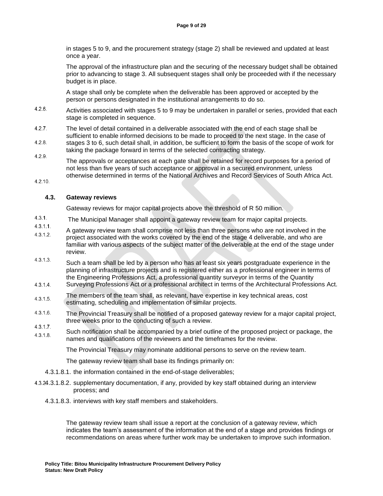in stages 5 to 9, and the procurement strategy (stage 2) shall be reviewed and updated at least once a year.

The approval of the infrastructure plan and the securing of the necessary budget shall be obtained prior to advancing to stage 3. All subsequent stages shall only be proceeded with if the necessary budget is in place.

A stage shall only be complete when the deliverable has been approved or accepted by the person or persons designated in the institutional arrangements to do so.

- $4.2.6.$ Activities associated with stages 5 to 9 may be undertaken in parallel or series, provided that each stage is completed in sequence.
- $4.2.7.$ The level of detail contained in a deliverable associated with the end of each stage shall be sufficient to enable informed decisions to be made to proceed to the next stage. In the case of  $4.2.8.$ stages 3 to 6, such detail shall, in addition, be sufficient to form the basis of the scope of work for taking the package forward in terms of the selected contracting strategy.

 $4.2.9.$ The approvals or acceptances at each gate shall be retained for record purposes for a period of not less than five years of such acceptance or approval in a secured environment, unless otherwise determined in terms of the National Archives and Record Services of South Africa Act.

 $4.2.10.$ 

#### **4.3. Gateway reviews**

Gateway reviews for major capital projects above the threshold of R 50 million.

- $4.3.1.$ The Municipal Manager shall appoint a gateway review team for major capital projects.
- $4.3.1.1.$ A gateway review team shall comprise not less than three persons who are not involved in the  $4.3.1.2.$ project associated with the works covered by the end of the stage 4 deliverable, and who are familiar with various aspects of the subject matter of the deliverable at the end of the stage under review.
- $4.3.1.3.$ Such a team shall be led by a person who has at least six years postgraduate experience in the planning of infrastructure projects and is registered either as a professional engineer in terms of the Engineering Professions Act, a professional quantity surveyor in terms of the Quantity
- $4.3.1.4.$ Surveying Professions Act or a professional architect in terms of the Architectural Professions Act.
- The members of the team shall, as relevant, have expertise in key technical areas, cost  $4.3.1.5.$ estimating, scheduling and implementation of similar projects.
- $4.3.1.6.$ The Provincial Treasury shall be notified of a proposed gateway review for a major capital project, three weeks prior to the conducting of such a review.
- $4.3.1.7.$ Such notification shall be accompanied by a brief outline of the proposed project or package, the  $4.3.1.8.$ names and qualifications of the reviewers and the timeframes for the review.

The Provincial Treasury may nominate additional persons to serve on the review team.

The gateway review team shall base its findings primarily on:

- 4.3.1.8.1. the information contained in the end-of-stage deliverables;
- 4.3.1.8.2. supplementary documentation, if any, provided by key staff obtained during an interview process; and
	- 4.3.1.8.3. interviews with key staff members and stakeholders.

The gateway review team shall issue a report at the conclusion of a gateway review, which indicates the team's assessment of the information at the end of a stage and provides findings or recommendations on areas where further work may be undertaken to improve such information.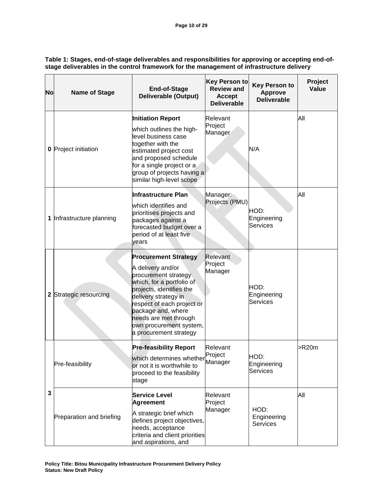**Table 1: Stages, end-of-stage deliverables and responsibilities for approving or accepting end-ofstage deliverables in the control framework for the management of infrastructure delivery**

| <b>No</b> | <b>Name of Stage</b>        | <b>End-of-Stage</b><br><b>Deliverable (Output)</b>                                                                                                                                                                                                                                          | <b>Key Person to</b><br><b>Review and</b><br>Accept<br><b>Deliverable</b> | <b>Key Person to</b><br><b>Approve</b><br><b>Deliverable</b> | Project<br>Value |
|-----------|-----------------------------|---------------------------------------------------------------------------------------------------------------------------------------------------------------------------------------------------------------------------------------------------------------------------------------------|---------------------------------------------------------------------------|--------------------------------------------------------------|------------------|
|           | <b>0</b> Project initiation | <b>Initiation Report</b><br>which outlines the high-<br>level business case<br>together with the<br>estimated project cost<br>and proposed schedule<br>for a single project or a<br>group of projects having a<br>similar high-level scope                                                  | Relevant<br>Project<br>Manager                                            | N/A                                                          | All              |
|           | 1 Infrastructure planning   | Infrastructure Plan<br>which identifies and<br>prioritises projects and<br>packages against a<br>forecasted budget over a<br>period of at least five<br>vears                                                                                                                               | Manager:<br>Projects (PMU)                                                | HOD:<br>Engineering<br><b>Services</b>                       | All              |
|           | 2 Strategic resourcing      | <b>Procurement Strategy</b><br>A delivery and/or<br>procurement strategy<br>which, for a portfolio of<br>projects, identifies the<br>delivery strategy in<br>respect of each project or<br>package and, where<br>needs are met through<br>own procurement system,<br>a procurement strategy | Relevant<br>Project<br>Manager                                            | HOD:<br>Engineering<br>Services                              |                  |
| 3         | Pre-feasibility             | <b>Pre-feasibility Report</b><br>which determines whether Manager<br>or not it is worthwhile to<br>proceed to the feasibility<br>stage                                                                                                                                                      | Relevant<br>Proiect                                                       | HOD:<br>Engineering<br>Services                              | >R20m            |
|           | Preparation and briefing    | <b>Service Level</b><br><b>Agreement</b><br>A strategic brief which<br>defines project objectives,<br>needs, acceptance<br>criteria and client priorities<br>and aspirations, and                                                                                                           | Relevant<br>Project<br>Manager                                            | HOD:<br>Engineering<br><b>Services</b>                       | All              |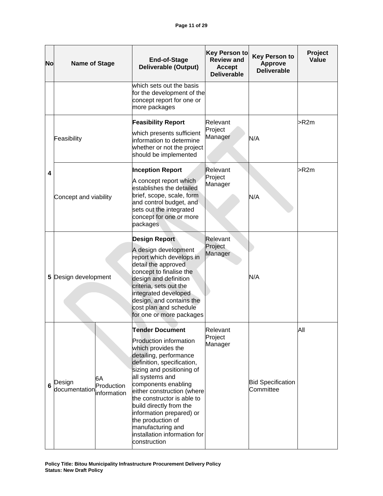| Nol                     | <b>Name of Stage</b>                                        | <b>End-of-Stage</b><br><b>Deliverable (Output)</b>                                                                                                                                                                                                                                                                                                                                                                        | <b>Key Person to</b><br><b>Review and</b><br><b>Accept</b><br><b>Deliverable</b> | <b>Key Person to</b><br><b>Approve</b><br><b>Deliverable</b> | Project<br>Value |
|-------------------------|-------------------------------------------------------------|---------------------------------------------------------------------------------------------------------------------------------------------------------------------------------------------------------------------------------------------------------------------------------------------------------------------------------------------------------------------------------------------------------------------------|----------------------------------------------------------------------------------|--------------------------------------------------------------|------------------|
|                         |                                                             | which sets out the basis<br>for the development of the<br>concept report for one or<br>more packages                                                                                                                                                                                                                                                                                                                      |                                                                                  |                                                              |                  |
|                         | Feasibility                                                 | <b>Feasibility Report</b><br>which presents sufficient<br>information to determine<br>whether or not the project<br>should be implemented                                                                                                                                                                                                                                                                                 | Relevant<br>Project<br>Manager                                                   | N/A                                                          | >R2m             |
| $\overline{\mathbf{4}}$ | Concept and viability                                       | <b>Inception Report</b><br>A concept report which<br>establishes the detailed<br>brief, scope, scale, form<br>and control budget, and<br>sets out the integrated<br>concept for one or more<br>packages                                                                                                                                                                                                                   | Relevant<br>Project<br>Manager                                                   | N/A                                                          | >R2m             |
|                         | 5 Design development                                        | <b>Design Report</b><br>A design development<br>report which develops in<br>detail the approved<br>concept to finalise the<br>design and definition<br>criteria, sets out the<br>integrated developed<br>design, and contains the<br>cost plan and schedule<br>for one or more packages                                                                                                                                   | Relevant<br>Project<br>Manager                                                   | N/A                                                          |                  |
| 6                       | 6A<br>Design<br>Production<br>documentation<br>linformation | <b>Tender Document</b><br><b>Production information</b><br>which provides the<br>detailing, performance<br>definition, specification,<br>sizing and positioning of<br>all systems and<br>components enabling<br>either construction (where<br>the constructor is able to<br>build directly from the<br>information prepared) or<br>the production of<br>manufacturing and<br>installation information for<br>construction | Relevant<br>Project<br>Manager                                                   | <b>Bid Specification</b><br>Committee                        | All              |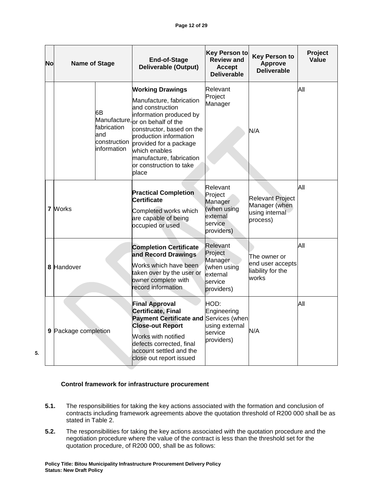| <b>No</b> | <b>Name of Stage</b> |                                                           | End-of-Stage<br><b>Deliverable (Output)</b>                                                                                                                                                                                                                                                              | <b>Key Person to</b><br><b>Review and</b><br><b>Accept</b><br><b>Deliverable</b>   | <b>Key Person to</b><br><b>Approve</b><br><b>Deliverable</b>           | Project<br>Value |
|-----------|----------------------|-----------------------------------------------------------|----------------------------------------------------------------------------------------------------------------------------------------------------------------------------------------------------------------------------------------------------------------------------------------------------------|------------------------------------------------------------------------------------|------------------------------------------------------------------------|------------------|
|           |                      | 6B<br>fabrication<br>land<br>construction<br>linformation | <b>Working Drawings</b><br>Manufacture, fabrication<br>and construction<br>information produced by<br>Manufacture, or on behalf of the<br>constructor, based on the<br>broduction information<br>provided for a package<br>which enables<br>manufacture, fabrication<br>or construction to take<br>place | Relevant<br>Project<br>Manager                                                     | N/A                                                                    | All              |
|           | 7 Works              |                                                           | <b>Practical Completion</b><br>Certificate<br>Completed works which<br>are capable of being<br>occupied or used                                                                                                                                                                                          | Relevant<br>Project<br>Manager<br>(when using<br>external<br>service<br>providers) | <b>Relevant Project</b><br>Manager (when<br>using internal<br>process) | All              |
|           | 8 Handover           |                                                           | <b>Completion Certificate</b><br>and Record Drawings<br>Works which have been<br>taken over by the user or<br>owner complete with<br>record information                                                                                                                                                  | Relevant<br>Project<br>Manager<br>(when using<br>external<br>service<br>providers) | The owner or<br>end user accepts<br>liability for the<br>works         | All              |
|           | 9 Package completion |                                                           | <b>Final Approval</b><br>Certificate, Final<br>Payment Certificate and Services (when<br><b>Close-out Report</b><br>Works with notified<br>defects corrected, final<br>account settled and the<br>close out report issued                                                                                | HOD:<br>Engineering<br>using external<br>service<br>providers)                     | N/A                                                                    | All              |

5.

#### **Control framework for infrastructure procurement**

- **5.1.** The responsibilities for taking the key actions associated with the formation and conclusion of contracts including framework agreements above the quotation threshold of R200 000 shall be as stated in Table 2.
- **5.2.** The responsibilities for taking the key actions associated with the quotation procedure and the negotiation procedure where the value of the contract is less than the threshold set for the quotation procedure, of R200 000, shall be as follows: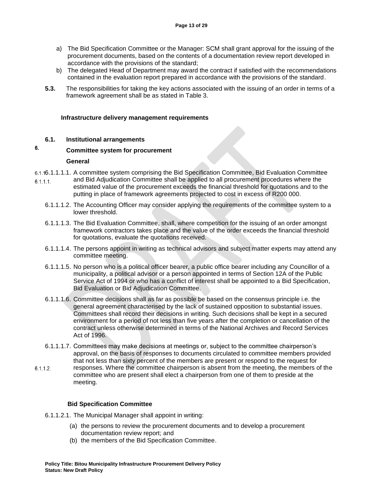- a) The Bid Specification Committee or the Manager: SCM shall grant approval for the issuing of the procurement documents, based on the contents of a documentation review report developed in accordance with the provisions of the standard;
- b) The delegated Head of Department may award the contract if satisfied with the recommendations contained in the evaluation report prepared in accordance with the provisions of the standard.
- **5.3.** The responsibilities for taking the key actions associated with the issuing of an order in terms of a framework agreement shall be as stated in Table 3.

#### **Infrastructure delivery management requirements**

#### **6.1. Institutional arrangements**

#### 6. **Committee system for procurement**

#### **General**

- 6.1.16.1.1.1.1. A committee system comprising the Bid Specification Committee, Bid Evaluation Committee and Bid Adjudication Committee shall be applied to all procurement procedures where the  $6.1.1.1.$ estimated value of the procurement exceeds the financial threshold for quotations and to the putting in place of framework agreements projected to cost in excess of R200 000.
	- 6.1.1.1.2. The Accounting Officer may consider applying the requirements of the committee system to a lower threshold.
	- 6.1.1.1.3. The Bid Evaluation Committee, shall, where competition for the issuing of an order amongst framework contractors takes place and the value of the order exceeds the financial threshold for quotations, evaluate the quotations received.
	- 6.1.1.1.4. The persons appoint in writing as technical advisors and subject matter experts may attend any committee meeting.
	- 6.1.1.1.5. No person who is a political officer bearer, a public office bearer including any Councillor of a municipality, a political advisor or a person appointed in terms of Section 12A of the Public Service Act of 1994 or who has a conflict of interest shall be appointed to a Bid Specification, Bid Evaluation or Bid Adjudication Committee.
	- 6.1.1.1.6. Committee decisions shall as far as possible be based on the consensus principle i.e. the general agreement characterised by the lack of sustained opposition to substantial issues. Committees shall record their decisions in writing. Such decisions shall be kept in a secured environment for a period of not less than five years after the completion or cancellation of the contract unless otherwise determined in terms of the National Archives and Record Services Act of 1996.
	- 6.1.1.1.7. Committees may make decisions at meetings or, subject to the committee chairperson's approval, on the basis of responses to documents circulated to committee members provided that not less than sixty percent of the members are present or respond to the request for
- $6.1.1.2.$ responses. Where the committee chairperson is absent from the meeting, the members of the committee who are present shall elect a chairperson from one of them to preside at the meeting.

#### **Bid Specification Committee**

- 6.1.1.2.1. The Municipal Manager shall appoint in writing:
	- (a) the persons to review the procurement documents and to develop a procurement documentation review report; and
	- (b) the members of the Bid Specification Committee.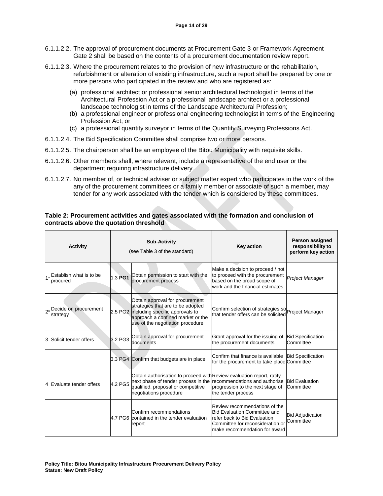- 6.1.1.2.2. The approval of procurement documents at Procurement Gate 3 or Framework Agreement Gate 2 shall be based on the contents of a procurement documentation review report.
- 6.1.1.2.3. Where the procurement relates to the provision of new infrastructure or the rehabilitation, refurbishment or alteration of existing infrastructure, such a report shall be prepared by one or more persons who participated in the review and who are registered as:
	- (a) professional architect or professional senior architectural technologist in terms of the Architectural Profession Act or a professional landscape architect or a professional landscape technologist in terms of the Landscape Architectural Profession;
	- (b) a professional engineer or professional engineering technologist in terms of the Engineering Profession Act; or
	- (c) a professional quantity surveyor in terms of the Quantity Surveying Professions Act.
- 6.1.1.2.4. The Bid Specification Committee shall comprise two or more persons.
- 6.1.1.2.5. The chairperson shall be an employee of the Bitou Municipality with requisite skills.
- 6.1.1.2.6. Other members shall, where relevant, include a representative of the end user or the department requiring infrastructure delivery.
- 6.1.1.2.7. No member of, or technical adviser or subject matter expert who participates in the work of the any of the procurement committees or a family member or associate of such a member, may tender for any work associated with the tender which is considered by these committees.

#### **Table 2: Procurement activities and gates associated with the formation and conclusion of contracts above the quotation threshold**

| <b>Activity</b> |                                     |         | <b>Sub-Activity</b><br>(see Table 3 of the standard)                                                                                                                                     | <b>Key action</b>                                                                                                                                                         | Person assigned<br>responsibility to<br>perform key action |
|-----------------|-------------------------------------|---------|------------------------------------------------------------------------------------------------------------------------------------------------------------------------------------------|---------------------------------------------------------------------------------------------------------------------------------------------------------------------------|------------------------------------------------------------|
|                 | Establish what is to be<br>procured | 1.3 PG1 | Obtain permission to start with the<br>procurement process                                                                                                                               | Make a decision to proceed / not<br>to proceed with the procurement<br>based on the broad scope of<br>work and the financial estimates.                                   | <b>Project Manager</b>                                     |
|                 | Decide on procurement<br>strategy   |         | Obtain approval for procurement<br>strategies that are to be adopted<br>2.5 PG2 including specific approvals to<br>approach a confined market or the<br>use of the negotiation procedure | Confirm selection of strategies so <b>p</b> roject Manager<br>that tender offers can be solicited                                                                         |                                                            |
| З               | Solicit tender offers               | 3.2 PG3 | Obtain approval for procurement<br>documents                                                                                                                                             | Grant approval for the issuing of<br>the procurement documents                                                                                                            | <b>Bid Specification</b><br>Committee                      |
|                 |                                     |         | 3.3 PG4 Confirm that budgets are in place                                                                                                                                                | Confirm that finance is available<br>for the procurement to take place Committee                                                                                          | <b>Bid Specification</b>                                   |
| 4               | Evaluate tender offers              | 4.2 PG5 | Obtain authorisation to proceed with Review evaluation report, ratify<br>next phase of tender process in the<br>qualified, proposal or competitive<br>negotiations procedure             | recommendations and authorise<br>progression to the next stage of<br>the tender process                                                                                   | <b>Bid Evaluation</b><br>Committee                         |
|                 |                                     |         | Confirm recommendations<br>4.7 PG6 contained in the tender evaluation<br>report                                                                                                          | Review recommendations of the<br><b>Bid Evaluation Committee and</b><br>refer back to Bid Evaluation<br>Committee for reconsideration or<br>make recommendation for award | <b>Bid Adjudication</b><br>Committee                       |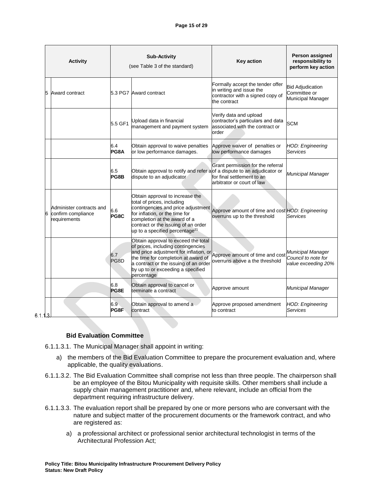|   | <b>Activity</b>                                                     | <b>Sub-Activity</b><br>(see Table 3 of the standard) |                                                                                                                                                                                                                                                                                                     | <b>Key action</b>                                                                                                | Person assigned<br>responsibility to<br>perform key action      |
|---|---------------------------------------------------------------------|------------------------------------------------------|-----------------------------------------------------------------------------------------------------------------------------------------------------------------------------------------------------------------------------------------------------------------------------------------------------|------------------------------------------------------------------------------------------------------------------|-----------------------------------------------------------------|
| 5 | Award contract                                                      |                                                      | 5.3 PG7 Award contract                                                                                                                                                                                                                                                                              | Formally accept the tender offer<br>in writing and issue the<br>contractor with a signed copy of<br>the contract | <b>Bid Adjudication</b><br>Committee or<br>Municipal Manager    |
|   |                                                                     | 5.5 GF1                                              | Upload data in financial<br>management and payment system                                                                                                                                                                                                                                           | Verify data and upload<br>contractor's particulars and data<br>associated with the contract or<br>order          | <b>SCM</b>                                                      |
|   |                                                                     | 6.4<br>PG8A                                          | Obtain approval to waive penalties<br>or low performance damages.                                                                                                                                                                                                                                   | Approve waiver of penalties or<br>low performance damages                                                        | <b>HOD: Engineering</b><br>Services                             |
|   |                                                                     | 6.5<br>PG8B                                          | Obtain approval to notify and refer alof a dispute to an adjudicator or<br>dispute to an adjudicator                                                                                                                                                                                                | Grant permission for the referral<br>for final settlement to an<br>arbitrator or court of law                    | Municipal Manager                                               |
|   | Administer contracts and<br>confirm compliance<br>6<br>requirements | 6.6<br>PG8C                                          | Obtain approval to increase the<br>total of prices, including<br>contingencies and price adjustment<br>for inflation, or the time for<br>completion at the award of a<br>contract or the issuing of an order<br>up to a specified percentage <sup>21</sup>                                          | Approve amount of time and cost HOD: Engineering<br>overruns up to the threshold                                 | Services                                                        |
|   |                                                                     | 6.7<br>PG8D                                          | Obtain approval to exceed the total<br>of prices, including contingencies<br>and price adjustment for inflation, or<br>and price adjustment for inflation, or<br>and price adjustment for inflation, or<br>a contract or the issuing of an order<br>by up to or exceeding a specified<br>percentage | overruns above a the threshold                                                                                   | Municipal Manager<br>Council to note for<br>value exceeding 20% |
|   |                                                                     | 6.8<br>PG8E                                          | Obtain approval to cancel or<br>terminate a contract                                                                                                                                                                                                                                                | Approve amount                                                                                                   | Municipal Manager                                               |
|   |                                                                     | 6.9<br>PG8F                                          | Obtain approval to amend a<br>contract                                                                                                                                                                                                                                                              | Approve proposed amendment<br>to contract                                                                        | <b>HOD: Engineering</b><br>Services                             |

 $6.1.13$ 

#### **Bid Evaluation Committee**

- 6.1.1.3.1. The Municipal Manager shall appoint in writing:
	- a) the members of the Bid Evaluation Committee to prepare the procurement evaluation and, where applicable, the quality evaluations.
- 6.1.1.3.2. The Bid Evaluation Committee shall comprise not less than three people. The chairperson shall be an employee of the Bitou Municipality with requisite skills. Other members shall include a supply chain management practitioner and, where relevant, include an official from the department requiring infrastructure delivery.
- 6.1.1.3.3. The evaluation report shall be prepared by one or more persons who are conversant with the nature and subject matter of the procurement documents or the framework contract, and who are registered as:
	- a) a professional architect or professional senior architectural technologist in terms of the Architectural Profession Act;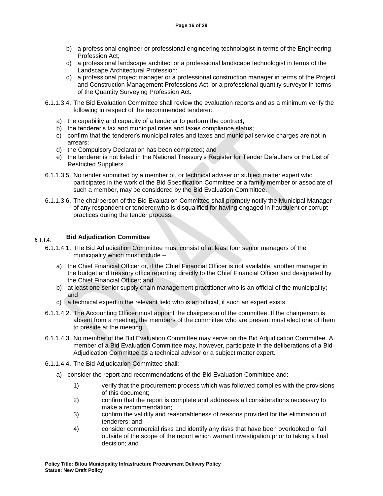- b) a professional engineer or professional engineering technologist in terms of the Engineering Profession Act;
- c) a professional landscape architect or a professional landscape technologist in terms of the Landscape Architectural Profession;
- d) a professional project manager or a professional construction manager in terms of the Project and Construction Management Professions Act; or a professional quantity surveyor in terms of the Quantity Surveying Profession Act.
- 6.1.1.3.4. The Bid Evaluation Committee shall review the evaluation reports and as a minimum verify the following in respect of the recommended tenderer:
	- a) the capability and capacity of a tenderer to perform the contract;
	- b) the tenderer's tax and municipal rates and taxes compliance status;
	- c) confirm that the tenderer's municipal rates and taxes and municipal service charges are not in arrears;
	- d) the Compulsory Declaration has been completed; and
	- e) the tenderer is not listed in the National Treasury's Register for Tender Defaulters or the List of Restricted Suppliers.
- 6.1.1.3.5. No tender submitted by a member of, or technical adviser or subject matter expert who participates in the work of the Bid Specification Committee or a family member or associate of such a member, may be considered by the Bid Evaluation Committee.
- 6.1.1.3.6. The chairperson of the Bid Evaluation Committee shall promptly notify the Municipal Manager of any respondent or tenderer who is disqualified for having engaged in fraudulent or corrupt practices during the tender process.

#### **Bid Adjudication Committee**  $6.1.1.4.$

- 6.1.1.4.1. The Bid Adjudication Committee must consist of at least four senior managers of the municipality which must include –
	- a) the Chief Financial Officer or, if the Chief Financial Officer is not available, another manager in the budget and treasury office reporting directly to the Chief Financial Officer and designated by the Chief Financial Officer; and
	- b) at least one senior supply chain management practitioner who is an official of the municipality; and
	- c) a technical expert in the relevant field who is an official, if such an expert exists.
- 6.1.1.4.2. The Accounting Officer must appoint the chairperson of the committee. If the chairperson is absent from a meeting, the members of the committee who are present must elect one of them to preside at the meeting.
- 6.1.1.4.3. No member of the Bid Evaluation Committee may serve on the Bid Adjudication Committee. A member of a Bid Evaluation Committee may, however, participate in the deliberations of a Bid Adjudication Committee as a technical advisor or a subject matter expert.
- 6.1.1.4.4. The Bid Adjudication Committee shall:
	- a) consider the report and recommendations of the Bid Evaluation Committee and:
		- 1) verify that the procurement process which was followed complies with the provisions of this document;
		- 2) confirm that the report is complete and addresses all considerations necessary to make a recommendation;
		- 3) confirm the validity and reasonableness of reasons provided for the elimination of tenderers; and
		- 4) consider commercial risks and identify any risks that have been overlooked or fall outside of the scope of the report which warrant investigation prior to taking a final decision; and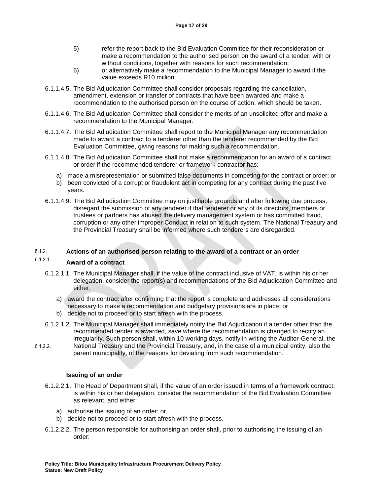- 5) refer the report back to the Bid Evaluation Committee for their reconsideration or make a recommendation to the authorised person on the award of a tender, with or without conditions, together with reasons for such recommendation;
- 6) or alternatively make a recommendation to the Municipal Manager to award if the value exceeds R10 million.
- 6.1.1.4.5. The Bid Adjudication Committee shall consider proposals regarding the cancellation, amendment, extension or transfer of contracts that have been awarded and make a recommendation to the authorised person on the course of action, which should be taken.
- 6.1.1.4.6. The Bid Adjudication Committee shall consider the merits of an unsolicited offer and make a recommendation to the Municipal Manager.
- 6.1.1.4.7. The Bid Adjudication Committee shall report to the Municipal Manager any recommendation made to award a contract to a tenderer other than the tenderer recommended by the Bid Evaluation Committee, giving reasons for making such a recommendation.
- 6.1.1.4.8. The Bid Adjudication Committee shall not make a recommendation for an award of a contract or order if the recommended tenderer or framework contractor has:
	- a) made a misrepresentation or submitted false documents in competing for the contract or order; or
	- b) been convicted of a corrupt or fraudulent act in competing for any contract during the past five years.
- 6.1.1.4.9. The Bid Adjudication Committee may on justifiable grounds and after following due process, disregard the submission of any tenderer if that tenderer or any of its directors, members or trustees or partners has abused the delivery management system or has committed fraud, corruption or any other improper Conduct in relation to such system. The National Treasury and the Provincial Treasury shall be informed where such tenderers are disregarded.

#### $6.1.2.$ **Actions of an authorised person relating to the award of a contract or an order**

#### $6.1.2.1.$ **Award of a contract**

- 6.1.2.1.1. The Municipal Manager shall, if the value of the contract inclusive of VAT, is within his or her delegation, consider the report(s) and recommendations of the Bid Adjudication Committee and either:
	- a) award the contract after confirming that the report is complete and addresses all considerations necessary to make a recommendation and budgetary provisions are in place; or
	- b) decide not to proceed or to start afresh with the process.
- 6.1.2.1.2. The Municipal Manager shall immediately notify the Bid Adjudication if a tender other than the recommended tender is awarded, save where the recommendation is changed to rectify an irregularity. Such person shall, within 10 working days, notify in writing the Auditor-General, the
- $6.1.2.2.$ National Treasury and the Provincial Treasury, and, in the case of a municipal entity, also the parent municipality, of the reasons for deviating from such recommendation.

#### **Issuing of an order**

- 6.1.2.2.1. The Head of Department shall, if the value of an order issued in terms of a framework contract, is within his or her delegation, consider the recommendation of the Bid Evaluation Committee as relevant, and either:
	- a) authorise the issuing of an order; or
	- b) decide not to proceed or to start afresh with the process.
- 6.1.2.2.2. The person responsible for authorising an order shall, prior to authorising the issuing of an order: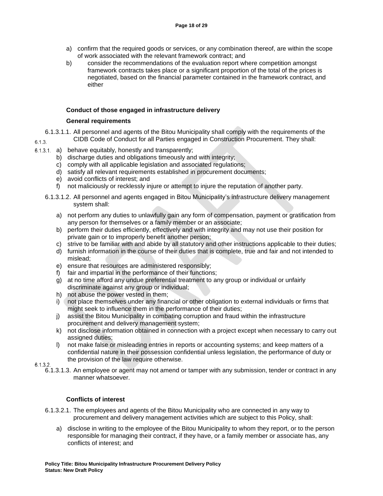- a) confirm that the required goods or services, or any combination thereof, are within the scope of work associated with the relevant framework contract; and
- b) consider the recommendations of the evaluation report where competition amongst framework contracts takes place or a significant proportion of the total of the prices is negotiated, based on the financial parameter contained in the framework contract, and either

### **Conduct of those engaged in infrastructure delivery**

### **General requirements**

- 6.1.3.1.1. All personnel and agents of the Bitou Municipality shall comply with the requirements of the CIDB Code of Conduct for all Parties engaged in Construction Procurement. They shall:  $6.1.3.$
- $6.1.3.1$ . a) behave equitably, honestly and transparently;
	- b) discharge duties and obligations timeously and with integrity;
	- c) comply with all applicable legislation and associated regulations;
	- d) satisfy all relevant requirements established in procurement documents;
	- e) avoid conflicts of interest; and
	- f) not maliciously or recklessly injure or attempt to injure the reputation of another party.
	- 6.1.3.1.2. All personnel and agents engaged in Bitou Municipality's infrastructure delivery management system shall:
		- a) not perform any duties to unlawfully gain any form of compensation, payment or gratification from any person for themselves or a family member or an associate;
		- b) perform their duties efficiently, effectively and with integrity and may not use their position for private gain or to improperly benefit another person;
		- c) strive to be familiar with and abide by all statutory and other instructions applicable to their duties;
		- d) furnish information in the course of their duties that is complete, true and fair and not intended to mislead;
		- e) ensure that resources are administered responsibly;
		- f) fair and impartial in the performance of their functions;
		- g) at no time afford any undue preferential treatment to any group or individual or unfairly discriminate against any group or individual;
		- h) not abuse the power vested in them;
		- i) not place themselves under any financial or other obligation to external individuals or firms that might seek to influence them in the performance of their duties;
		- j) assist the Bitou Municipality in combating corruption and fraud within the infrastructure procurement and delivery management system;
		- k) not disclose information obtained in connection with a project except when necessary to carry out assigned duties;
		- l) not make false or misleading entries in reports or accounting systems; and keep matters of a confidential nature in their possession confidential unless legislation, the performance of duty or the provision of the law require otherwise.
- $6.1.3.2.$ 
	- 6.1.3.1.3. An employee or agent may not amend or tamper with any submission, tender or contract in any manner whatsoever.

### **Conflicts of interest**

- 6.1.3.2.1. The employees and agents of the Bitou Municipality who are connected in any way to procurement and delivery management activities which are subject to this Policy, shall:
	- a) disclose in writing to the employee of the Bitou Municipality to whom they report, or to the person responsible for managing their contract, if they have, or a family member or associate has, any conflicts of interest; and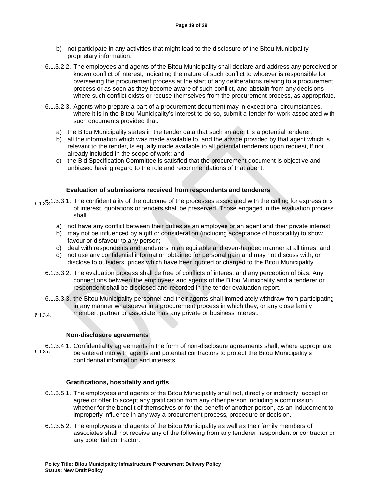- b) not participate in any activities that might lead to the disclosure of the Bitou Municipality proprietary information.
- 6.1.3.2.2. The employees and agents of the Bitou Municipality shall declare and address any perceived or known conflict of interest, indicating the nature of such conflict to whoever is responsible for overseeing the procurement process at the start of any deliberations relating to a procurement process or as soon as they become aware of such conflict, and abstain from any decisions where such conflict exists or recuse themselves from the procurement process, as appropriate.
- 6.1.3.2.3. Agents who prepare a part of a procurement document may in exceptional circumstances, where it is in the Bitou Municipality's interest to do so, submit a tender for work associated with such documents provided that:
	- a) the Bitou Municipality states in the tender data that such an agent is a potential tenderer;
	- b) all the information which was made available to, and the advice provided by that agent which is relevant to the tender, is equally made available to all potential tenderers upon request, if not already included in the scope of work; and
	- c) the Bid Specification Committee is satisfied that the procurement document is objective and unbiased having regard to the role and recommendations of that agent.

#### **Evaluation of submissions received from respondents and tenderers**

- $6.1.3631.3.3.1$ . The confidentiality of the outcome of the processes associated with the calling for expressions of interest, quotations or tenders shall be preserved. Those engaged in the evaluation process shall:
	- a) not have any conflict between their duties as an employee or an agent and their private interest;
	- b) may not be influenced by a gift or consideration (including acceptance of hospitality) to show favour or disfavour to any person;
	- c) deal with respondents and tenderers in an equitable and even-handed manner at all times; and
	- d) not use any confidential information obtained for personal gain and may not discuss with, or disclose to outsiders, prices which have been quoted or charged to the Bitou Municipality.
	- 6.1.3.3.2. The evaluation process shall be free of conflicts of interest and any perception of bias. Any connections between the employees and agents of the Bitou Municipality and a tenderer or respondent shall be disclosed and recorded in the tender evaluation report.
	- 6.1.3.3.3. the Bitou Municipality personnel and their agents shall immediately withdraw from participating in any manner whatsoever in a procurement process in which they, or any close family
- member, partner or associate, has any private or business interest.  $6.1.3.4.$

#### **Non-disclosure agreements**

6.1.3.4.1. Confidentiality agreements in the form of non-disclosure agreements shall, where appropriate, 6.1.3.5. be entered into with agents and potential contractors to protect the Bitou Municipality's confidential information and interests.

#### **Gratifications, hospitality and gifts**

- 6.1.3.5.1. The employees and agents of the Bitou Municipality shall not, directly or indirectly, accept or agree or offer to accept any gratification from any other person including a commission, whether for the benefit of themselves or for the benefit of another person, as an inducement to improperly influence in any way a procurement process, procedure or decision.
- 6.1.3.5.2. The employees and agents of the Bitou Municipality as well as their family members of associates shall not receive any of the following from any tenderer, respondent or contractor or any potential contractor: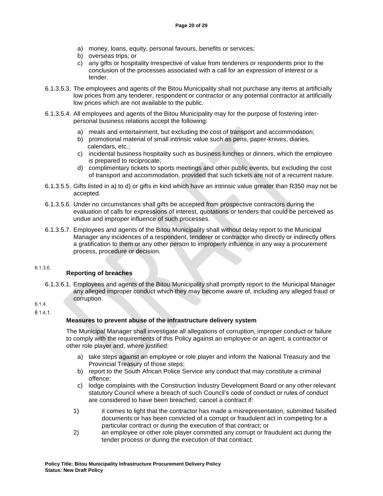- a) money, loans, equity, personal favours, benefits or services;
- b) overseas trips; or
- c) any gifts or hospitality irrespective of value from tenderers or respondents prior to the conclusion of the processes associated with a call for an expression of interest or a tender.
- 6.1.3.5.3. The employees and agents of the Bitou Municipality shall not purchase any items at artificially low prices from any tenderer, respondent or contractor or any potential contractor at artificially low prices which are not available to the public.
- 6.1.3.5.4. All employees and agents of the Bitou Municipality may for the purpose of fostering interpersonal business relations accept the following:
	- a) meals and entertainment, but excluding the cost of transport and accommodation;
	- b) promotional material of small intrinsic value such as pens, paper-knives, diaries, calendars, etc.;
	- c) incidental business hospitality such as business lunches or dinners, which the employee is prepared to reciprocate;
	- d) complimentary tickets to sports meetings and other public events, but excluding the cost of transport and accommodation, provided that such tickets are not of a recurrent nature.
- 6.1.3.5.5. Gifts listed in a) to d) or gifts in kind which have an intrinsic value greater than R350 may not be accepted.
- 6.1.3.5.6. Under no circumstances shall gifts be accepted from prospective contractors during the evaluation of calls for expressions of interest, quotations or tenders that could be perceived as undue and improper influence of such processes.
- 6.1.3.5.7. Employees and agents of the Bitou Municipality shall without delay report to the Municipal Manager any incidences of a respondent, tenderer or contractor who directly or indirectly offers a gratification to them or any other person to improperly influence in any way a procurement process, procedure or decision.

#### $6.1.3.6.$

### **Reporting of breaches**

6.1.3.6.1. Employees and agents of the Bitou Municipality shall promptly report to the Municipal Manager any alleged improper conduct which they may become aware of, including any alleged fraud or corruption.

### $6.1.4.$

 $6.1.4.1$ 

### **Measures to prevent abuse of the infrastructure delivery system**

The Municipal Manager shall investigate all allegations of corruption, improper conduct or failure to comply with the requirements of this Policy against an employee or an agent, a contractor or other role player and, where justified:

- a) take steps against an employee or role player and inform the National Treasury and the Provincial Treasury of those steps;
- b) report to the South African Police Service any conduct that may constitute a criminal offence;
- c) lodge complaints with the Construction Industry Development Board or any other relevant statutory Council where a breach of such Council's code of conduct or rules of conduct are considered to have been breached; cancel a contract if:
- 1) it comes to light that the contractor has made a misrepresentation, submitted falsified documents or has been convicted of a corrupt or fraudulent act in competing for a particular contract or during the execution of that contract; or
- 2) an employee or other role player committed any corrupt or fraudulent act during the tender process or during the execution of that contract.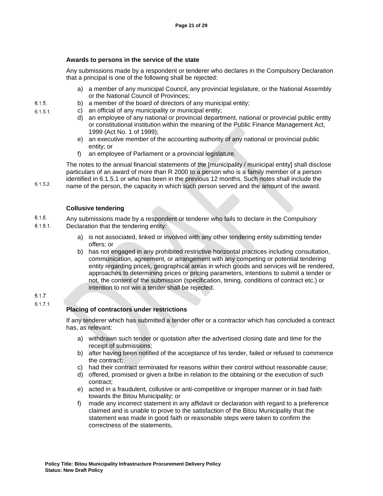#### **Awards to persons in the service of the state**

Any submissions made by a respondent or tenderer who declares in the Compulsory Declaration that a principal is one of the following shall be rejected:

- a) a member of any municipal Council, any provincial legislature, or the National Assembly or the National Council of Provinces;
- b) a member of the board of directors of any municipal entity;
- c) an official of any municipality or municipal entity;
	- d) an employee of any national or provincial department, national or provincial public entity or constitutional institution within the meaning of the Public Finance Management Act, 1999 (Act No. 1 of 1999);
	- e) an executive member of the accounting authority of any national or provincial public entity; or
	- f) an employee of Parliament or a provincial legislature.

The notes to the annual financial statements of the [municipality / municipal entity] shall disclose particulars of an award of more than R 2000 to a person who is a family member of a person identified in 6.1.5.1 or who has been in the previous 12 months. Such notes shall include the name of the person, the capacity in which such person served and the amount of the award.

#### **Collusive tendering**

- $6.1.6.$ Any submissions made by a respondent or tenderer who fails to declare in the Compulsory  $6.1.6.1.$ Declaration that the tendering entity:
	- a) is not associated, linked or involved with any other tendering entity submitting tender offers; or
		- b) has not engaged in any prohibited restrictive horizontal practices including consultation, communication, agreement, or arrangement with any competing or potential tendering entity regarding prices, geographical areas in which goods and services will be rendered, approaches to determining prices or pricing parameters, intentions to submit a tender or not, the content of the submission (specification, timing, conditions of contract etc.) or intention to not win a tender shall be rejected.

#### $6.1.7.$  $6.1.7.1.$

#### **Placing of contractors under restrictions**

If any tenderer which has submitted a tender offer or a contractor which has concluded a contract has, as relevant:

- a) withdrawn such tender or quotation after the advertised closing date and time for the receipt of submissions;
- b) after having been notified of the acceptance of his tender, failed or refused to commence the contract;
- c) had their contract terminated for reasons within their control without reasonable cause;
- d) offered, promised or given a bribe in relation to the obtaining or the execution of such contract;
- e) acted in a fraudulent, collusive or anti-competitive or improper manner or in bad faith towards the Bitou Municipality; or
- f) made any incorrect statement in any affidavit or declaration with regard to a preference claimed and is unable to prove to the satisfaction of the Bitou Municipality that the statement was made in good faith or reasonable steps were taken to confirm the correctness of the statements,

 $6.1.5.$  $6.1.5.1.$ 

 $6.1.5.2.$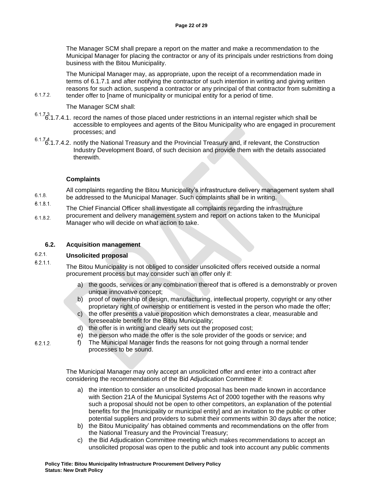The Manager SCM shall prepare a report on the matter and make a recommendation to the Municipal Manager for placing the contractor or any of its principals under restrictions from doing business with the Bitou Municipality.

The Municipal Manager may, as appropriate, upon the receipt of a recommendation made in terms of 6.1.7.1 and after notifying the contractor of such intention in writing and giving written reasons for such action, suspend a contractor or any principal of that contractor from submitting a tender offer to [name of municipality or municipal entity for a period of time.

#### The Manager SCM shall:

- $6.1.73$ .1.7.4.1. record the names of those placed under restrictions in an internal register which shall be accessible to employees and agents of the Bitou Municipality who are engaged in procurement processes; and
- $6.1.74$ .<br>6.1.7.4.2. notify the National Treasury and the Provincial Treasury and, if relevant, the Construction Industry Development Board, of such decision and provide them with the details associated therewith.

### **Complaints**

All complaints regarding the Bitou Municipality's infrastructure delivery management system shall  $6.1.8.$ be addressed to the Municipal Manager. Such complaints shall be in writing.

- $6.1.8.1.$ The Chief Financial Officer shall investigate all complaints regarding the infrastructure
- procurement and delivery management system and report on actions taken to the Municipal  $6.1.8.2.$ Manager who will decide on what action to take.

#### **6.2. Acquisition management**

#### $6.2.1.$ **Unsolicited proposal**

 $6.2.1.1.$ 

 $6.2.1.2$ 

 $6.1.7.2.$ 

The Bitou Municipality is not obliged to consider unsolicited offers received outside a normal procurement process but may consider such an offer only if:

- a) the goods, services or any combination thereof that is offered is a demonstrably or proven unique innovative concept;
- b) proof of ownership of design, manufacturing, intellectual property, copyright or any other proprietary right of ownership or entitlement is vested in the person who made the offer;
- c) the offer presents a value proposition which demonstrates a clear, measurable and foreseeable benefit for the Bitou Municipality;
- d) the offer is in writing and clearly sets out the proposed cost;
- e) the person who made the offer is the sole provider of the goods or service; and
- f) The Municipal Manager finds the reasons for not going through a normal tender processes to be sound.

The Municipal Manager may only accept an unsolicited offer and enter into a contract after considering the recommendations of the Bid Adjudication Committee if:

- a) the intention to consider an unsolicited proposal has been made known in accordance with Section 21A of the Municipal Systems Act of 2000 together with the reasons why such a proposal should not be open to other competitors, an explanation of the potential benefits for the [municipality or municipal entity] and an invitation to the public or other potential suppliers and providers to submit their comments within 30 days after the notice;
- b) the Bitou Municipality' has obtained comments and recommendations on the offer from the National Treasury and the Provincial Treasury;
- c) the Bid Adjudication Committee meeting which makes recommendations to accept an unsolicited proposal was open to the public and took into account any public comments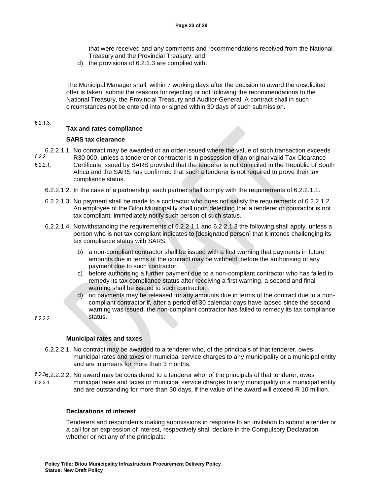that were received and any comments and recommendations received from the National Treasury and the Provincial Treasury; and

d) the provisions of 6.2.1.3 are complied with.

The Municipal Manager shall, within 7 working days after the decision to award the unsolicited offer is taken, submit the reasons for rejecting or not following the recommendations to the National Treasury, the Provincial Treasury and Auditor-General. A contract shall in such circumstances not be entered into or signed within 30 days of such submission.

#### $6.2.1.3.$

#### **Tax and rates compliance**

#### **SARS tax clearance**

- 6.2.2.1.1. No contract may be awarded or an order issued where the value of such transaction exceeds<br>6.2.2. R30,000, unless a tenderer or contractor is in possession of an original valid Tax Clearance R30 000, unless a tenderer or contractor is in possession of an original valid Tax Clearance  $6.2.2.1.$ Certificate issued by SARS provided that the tenderer is not domiciled in the Republic of South Africa and the SARS has confirmed that such a tenderer is not required to prove their tax compliance status.
	- 6.2.2.1.2. In the case of a partnership, each partner shall comply with the requirements of 6.2.2.1.1.
	- 6.2.2.1.3. No payment shall be made to a contractor who does not satisfy the requirements of 6.2.2.1.2. An employee of the Bitou Municipality shall upon detecting that a tenderer or contractor is not tax compliant, immediately notify such person of such status.
	- 6.2.2.1.4. Notwithstanding the requirements of 6.2.2.1.1 and 6.2.2.1.3 the following shall apply, unless a person who is not tax compliant indicates to [designated person] that it intends challenging its tax compliance status with SARS,
		- b) a non-compliant contractor shall be issued with a first warning that payments in future amounts due in terms of the contract may be withheld, before the authorising of any payment due to such contractor;
		- c) before authorising a further payment due to a non-compliant contractor who has failed to remedy its tax compliance status after receiving a first warning, a second and final warning shall be issued to such contractor;
		- d) no payments may be released for any amounts due in terms of the contract due to a noncompliant contractor if, after a period of 30 calendar days have lapsed since the second warning was issued, the non-compliant contractor has failed to remedy its tax compliance status.

 $6.2.2.2.$ 

#### **Municipal rates and taxes**

- 6.2.2.2.1. No contract may be awarded to a tenderer who, of the principals of that tenderer, owes municipal rates and taxes or municipal service charges to any municipality or a municipal entity and are in arrears for more than 3 months.
- 6.2.2.2.2. No award may be considered to a tenderer who, of the principals of that tenderer, owes  $6.2.3.1$ . municipal rates and taxes or municipal service charges to any municipality or a municipal entity and are outstanding for more than 30 days, if the value of the award will exceed R 10 million.

#### **Declarations of interest**

Tenderers and respondents making submissions in response to an invitation to submit a tender or a call for an expression of interest, respectively shall declare in the Compulsory Declaration whether or not any of the principals: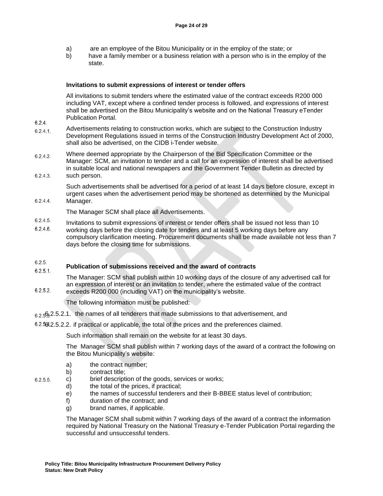- a) are an employee of the Bitou Municipality or in the employ of the state; or
- b) have a family member or a business relation with a person who is in the employ of the state.

#### **Invitations to submit expressions of interest or tender offers**

All invitations to submit tenders where the estimated value of the contract exceeds R200 000 including VAT, except where a confined tender process is followed, and expressions of interest shall be advertised on the Bitou Municipality's website and on the National Treasury eTender Publication Portal.

- Advertisements relating to construction works, which are subject to the Construction Industry  $6.2.4.1.$ Development Regulations issued in terms of the Construction Industry Development Act of 2000, shall also be advertised, on the CIDB i-Tender website.
- Where deemed appropriate by the Chairperson of the Bid Specification Committee or the  $6.2.4.2.$ Manager: SCM, an invitation to tender and a call for an expression of interest shall be advertised in suitable local and national newspapers and the Government Tender Bulletin as directed by  $6.2.4.3.$ such person.
- 

Such advertisements shall be advertised for a period of at least 14 days before closure, except in urgent cases when the advertisement period may be shortened as determined by the Municipal Manager.

### $6.2.4.4.$

 $6.2.4.$ 

The Manager SCM shall place all Advertisements.

- $6.2.4.5.$ Invitations to submit expressions of interest or tender offers shall be issued not less than 10
- $6.2.4.6$ working days before the closing date for tenders and at least 5 working days before any compulsory clarification meeting. Procurement documents shall be made available not less than 7 days before the closing time for submissions.

#### $6.2.5.$ **Publication of submissions received and the award of contracts**  $6.2.5.1.$

The Manager: SCM shall publish within 10 working days of the closure of any advertised call for an expression of interest or an invitation to tender, where the estimated value of the contract  $6.2.5.2$ exceeds R200 000 (including VAT) on the municipality's website.

The following information must be published:

- $6.2.592.2.5.2.1$ . the names of all tenderers that made submissions to that advertisement, and
- 6.2.5.2.2. if practical or applicable, the total of the prices and the preferences claimed.

Such information shall remain on the website for at least 30 days.

The Manager SCM shall publish within 7 working days of the award of a contract the following on the Bitou Municipality's website:

- a) the contract number;
- b) contract title;
- $6.2.5.5.$
- c) brief description of the goods, services or works;
- d) the total of the prices, if practical;
	- e) the names of successful tenderers and their B-BBEE status level of contribution;
- f) duration of the contract; and
- g) brand names, if applicable.

The Manager SCM shall submit within 7 working days of the award of a contract the information required by National Treasury on the National Treasury e-Tender Publication Portal regarding the successful and unsuccessful tenders.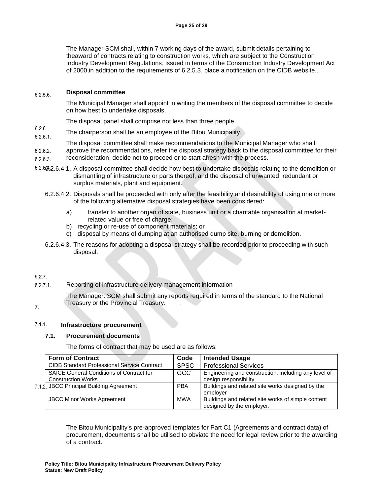The Manager SCM shall, within 7 working days of the award, submit details pertaining to theaward of contracts relating to construction works, which are subject to the Construction Industry Development Regulations, issued in terms of the Construction Industry Development Act of 2000,in addition to the requirements of 6.2.5.3, place a notification on the CIDB website..

#### **Disposal committee**  $6.2.5.6.$

The Municipal Manager shall appoint in writing the members of the disposal committee to decide on how best to undertake disposals.

The disposal panel shall comprise not less than three people.

- $6.2.6.$ The chairperson shall be an employee of the Bitou Municipality.  $6.2.6.1$
- The disposal committee shall make recommendations to the Municipal Manager who shall
- $6.2.6.2.$ approve the recommendations, refer the disposal strategy back to the disposal committee for their
- reconsideration, decide not to proceed or to start afresh with the process.  $6.2.6.3.$
- 6.2.66.2.6.4.1. A disposal committee shall decide how best to undertake disposals relating to the demolition or dismantling of infrastructure or parts thereof, and the disposal of unwanted, redundant or surplus materials, plant and equipment.
	- 6.2.6.4.2. Disposals shall be proceeded with only after the feasibility and desirability of using one or more of the following alternative disposal strategies have been considered:
		- a) transfer to another organ of state, business unit or a charitable organisation at marketrelated value or free of charge;
		- b) recycling or re-use of component materials; or
		- c) disposal by means of dumping at an authorised dump site, burning or demolition.
	- 6.2.6.4.3. The reasons for adopting a disposal strategy shall be recorded prior to proceeding with such disposal.

#### $6.2.7.$

Reporting of infrastructure delivery management information  $6.2.7.1.$ 

> The Manager: SCM shall submit any reports required in terms of the standard to the National Treasury or the Provincial Treasury. .

### $\overline{7}$ .

#### $7.1.1.$ **Infrastructure procurement**

#### **7.1. Procurement documents**

The forms of contract that may be used are as follows:

|  | <b>Form of Contract</b>                            | Code        | <b>Intended Usage</b>                                |
|--|----------------------------------------------------|-------------|------------------------------------------------------|
|  | <b>CIDB Standard Professional Service Contract</b> | <b>SPSC</b> | <b>Professional Services</b>                         |
|  | <b>SAICE General Conditions of Contract for</b>    | <b>GCC</b>  | Engineering and construction, including any level of |
|  | <b>Construction Works</b>                          |             | design responsibility                                |
|  | 7.1.2. JBCC Principal Building Agreement           | <b>PBA</b>  | Buildings and related site works designed by the     |
|  |                                                    |             | emplover                                             |
|  | <b>JBCC Minor Works Agreement</b>                  | <b>MWA</b>  | Buildings and related site works of simple content   |
|  |                                                    |             | designed by the employer.                            |

The Bitou Municipality's pre-approved templates for Part C1 (Agreements and contract data) of procurement, documents shall be utilised to obviate the need for legal review prior to the awarding of a contract.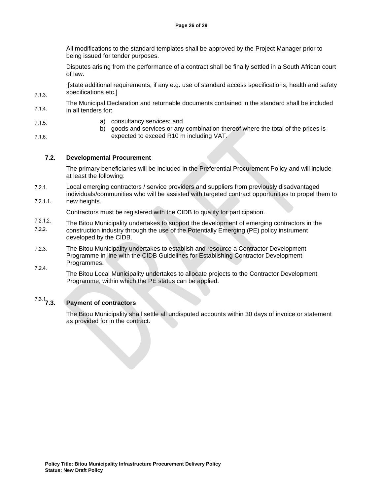All modifications to the standard templates shall be approved by the Project Manager prior to being issued for tender purposes.

Disputes arising from the performance of a contract shall be finally settled in a South African court of law.

[state additional requirements, if any e.g. use of standard access specifications, health and safety specifications etc.]

- The Municipal Declaration and returnable documents contained in the standard shall be included  $7.1.4.$ in all tenders for:
- $7.1.5.$
- $7.1.6.$

 $7.1.3.$ 

a) consultancy services; and

b) goods and services or any combination thereof where the total of the prices is expected to exceed R10 m including VAT.

#### **7.2. Developmental Procurement**

The primary beneficiaries will be included in the Preferential Procurement Policy and will include at least the following:

- Local emerging contractors / service providers and suppliers from previously disadvantaged  $7.2.1.$
- individuals/communities who will be assisted with targeted contract opportunities to propel them to  $7.2.1.1$ new heights.

Contractors must be registered with the CIDB to qualify for participation.

- $7.2.1.2.$ The Bitou Municipality undertakes to support the development of emerging contractors in the  $7.2.2.$ construction industry through the use of the Potentially Emerging (PE) policy instrument developed by the CIDB.
- $7.2.3.$ The Bitou Municipality undertakes to establish and resource a Contractor Development Programme in line with the CIDB Guidelines for Establishing Contractor Development Programmes.  $7.2.4.$
- The Bitou Local Municipality undertakes to allocate projects to the Contractor Development Programme, within which the PE status can be applied.

# **7.3. Payment of contractors**

The Bitou Municipality shall settle all undisputed accounts within 30 days of invoice or statement as provided for in the contract.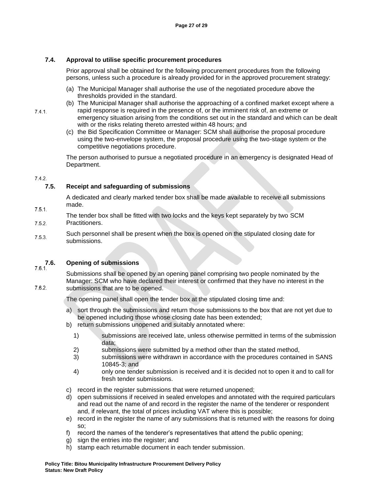#### **7.4. Approval to utilise specific procurement procedures**

Prior approval shall be obtained for the following procurement procedures from the following persons, unless such a procedure is already provided for in the approved procurement strategy:

- (a) The Municipal Manager shall authorise the use of the negotiated procedure above the thresholds provided in the standard.
- (b) The Municipal Manager shall authorise the approaching of a confined market except where a rapid response is required in the presence of, or the imminent risk of, an extreme or emergency situation arising from the conditions set out in the standard and which can be dealt with or the risks relating thereto arrested within 48 hours; and
	- (c) the Bid Specification Committee or Manager: SCM shall authorise the proposal procedure using the two-envelope system, the proposal procedure using the two-stage system or the competitive negotiations procedure.

The person authorised to pursue a negotiated procedure in an emergency is designated Head of Department.

#### $7.4.2.$

 $7.5.1.$ 

 $7.6.2.$ 

#### **7.5. Receipt and safeguarding of submissions**

A dedicated and clearly marked tender box shall be made available to receive all submissions made.

- The tender box shall be fitted with two locks and the keys kept separately by two SCM  $7.5.2.$ Practitioners.
- Such personnel shall be present when the box is opened on the stipulated closing date for  $7.5.3.$ submissions.

## **7.6. Opening of submissions**

Submissions shall be opened by an opening panel comprising two people nominated by the Manager: SCM who have declared their interest or confirmed that they have no interest in the submissions that are to be opened.

The opening panel shall open the tender box at the stipulated closing time and:

- a) sort through the submissions and return those submissions to the box that are not yet due to be opened including those whose closing date has been extended;
- b) return submissions unopened and suitably annotated where:
	- 1) submissions are received late, unless otherwise permitted in terms of the submission data;
	- 2) submissions were submitted by a method other than the stated method,
	- 3) submissions were withdrawn in accordance with the procedures contained in SANS 10845-3; and
	- 4) only one tender submission is received and it is decided not to open it and to call for fresh tender submissions.
- c) record in the register submissions that were returned unopened;
- d) open submissions if received in sealed envelopes and annotated with the required particulars and read out the name of and record in the register the name of the tenderer or respondent and, if relevant, the total of prices including VAT where this is possible;
- e) record in the register the name of any submissions that is returned with the reasons for doing so;
- f) record the names of the tenderer's representatives that attend the public opening;
- g) sign the entries into the register; and
- h) stamp each returnable document in each tender submission.

 $7.4.1.$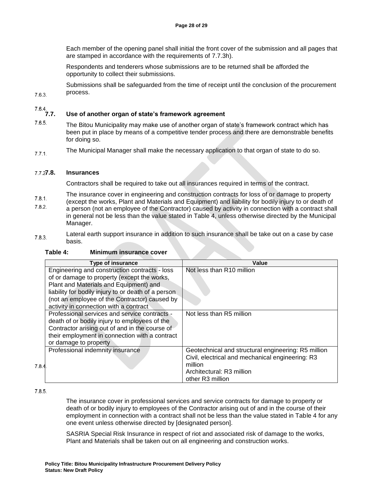Each member of the opening panel shall initial the front cover of the submission and all pages that are stamped in accordance with the requirements of 7.7.3h).

Respondents and tenderers whose submissions are to be returned shall be afforded the opportunity to collect their submissions.

Submissions shall be safeguarded from the time of receipt until the conclusion of the procurement process.

 $7.6.3.$ 

## **7.7. Use of another organ of state's framework agreement**

- $7.6.5.$ The Bitou Municipality may make use of another organ of state's framework contract which has been put in place by means of a competitive tender process and there are demonstrable benefits for doing so.
- The Municipal Manager shall make the necessary application to that organ of state to do so.  $7.7.1.$

### **7.8. Insurances**

Contractors shall be required to take out all insurances required in terms of the contract.

The insurance cover in engineering and construction contracts for loss of or damage to property

- $7.8.1.$ (except the works, Plant and Materials and Equipment) and liability for bodily injury to or death of  $7.8.2.$ a person (not an employee of the Contractor) caused by activity in connection with a contract shall in general not be less than the value stated in Table 4, unless otherwise directed by the Municipal Manager.
- Lateral earth support insurance in addition to such insurance shall be take out on a case by case  $7.8.3.$ basis.

### **Table 4: Minimum insurance cover**

|       | <b>Type of insurance</b>                            | Value                                               |
|-------|-----------------------------------------------------|-----------------------------------------------------|
|       | Engineering and construction contracts - loss       | Not less than R10 million                           |
|       | of or damage to property (except the works,         |                                                     |
|       | Plant and Materials and Equipment) and              |                                                     |
|       | liability for bodily injury to or death of a person |                                                     |
|       | (not an employee of the Contractor) caused by       |                                                     |
|       | activity in connection with a contract              |                                                     |
|       | Professional services and service contracts -       | Not less than R5 million                            |
|       | death of or bodily injury to employees of the       |                                                     |
|       | Contractor arising out of and in the course of      |                                                     |
|       | their employment in connection with a contract      |                                                     |
|       | or damage to property                               |                                                     |
|       | Professional indemnity insurance                    | Geotechnical and structural engineering: R5 million |
|       |                                                     | Civil, electrical and mechanical engineering: R3    |
| 7.8.4 |                                                     | million                                             |
|       |                                                     | Architectural: R3 million                           |
|       |                                                     | other R <sub>3</sub> million                        |

 $7.8.5.$ 

The insurance cover in professional services and service contracts for damage to property or death of or bodily injury to employees of the Contractor arising out of and in the course of their employment in connection with a contract shall not be less than the value stated in Table 4 for any one event unless otherwise directed by [designated person].

SASRIA Special Risk Insurance in respect of riot and associated risk of damage to the works, Plant and Materials shall be taken out on all engineering and construction works.